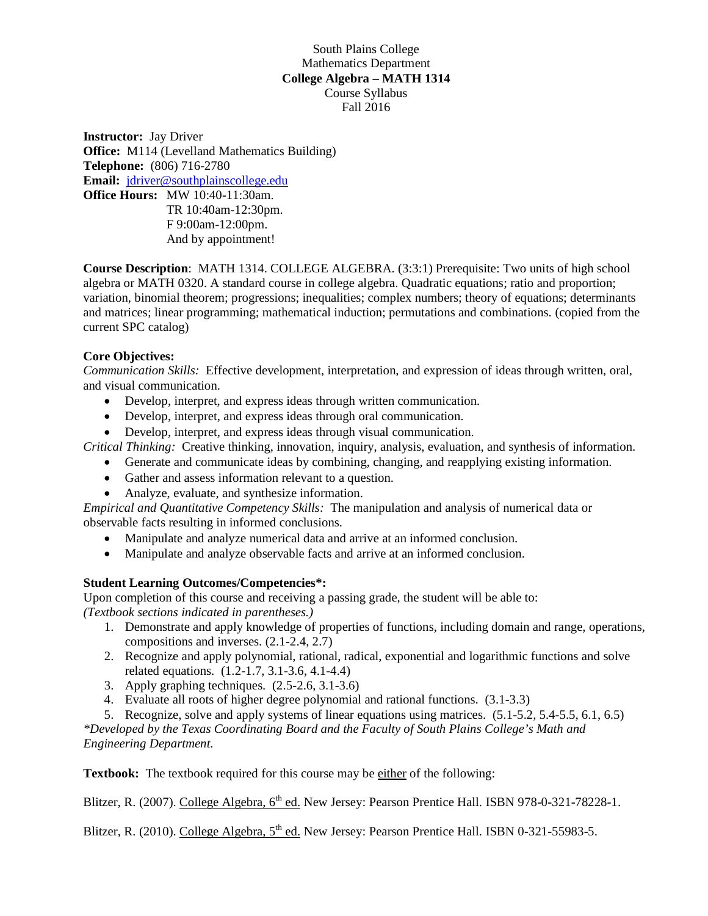## South Plains College Mathematics Department **College Algebra – MATH 1314** Course Syllabus Fall 2016

**Instructor:** Jay Driver **Office:** M114 (Levelland Mathematics Building) **Telephone:** (806) 716-2780 **Email:** [jdriver@southplainscollege.edu](mailto:jdriver@southplainscollege.edu) **Office Hours:** MW 10:40-11:30am. TR 10:40am-12:30pm. F 9:00am-12:00pm. And by appointment!

**Course Description**: MATH 1314. COLLEGE ALGEBRA. (3:3:1) Prerequisite: Two units of high school algebra or MATH 0320. A standard course in college algebra. Quadratic equations; ratio and proportion; variation, binomial theorem; progressions; inequalities; complex numbers; theory of equations; determinants and matrices; linear programming; mathematical induction; permutations and combinations. (copied from the current SPC catalog)

## **Core Objectives:**

*Communication Skills:* Effective development, interpretation, and expression of ideas through written, oral, and visual communication.

- Develop, interpret, and express ideas through written communication.
- Develop, interpret, and express ideas through oral communication.
- Develop, interpret, and express ideas through visual communication.

*Critical Thinking:* Creative thinking, innovation, inquiry, analysis, evaluation, and synthesis of information.

- Generate and communicate ideas by combining, changing, and reapplying existing information.
- Gather and assess information relevant to a question.
- Analyze, evaluate, and synthesize information.

*Empirical and Quantitative Competency Skills:* The manipulation and analysis of numerical data or observable facts resulting in informed conclusions.

- Manipulate and analyze numerical data and arrive at an informed conclusion.
- Manipulate and analyze observable facts and arrive at an informed conclusion.

## **Student Learning Outcomes/Competencies\*:**

Upon completion of this course and receiving a passing grade, the student will be able to: *(Textbook sections indicated in parentheses.)*

- 1. Demonstrate and apply knowledge of properties of functions, including domain and range, operations, compositions and inverses. (2.1-2.4, 2.7)
- 2. Recognize and apply polynomial, rational, radical, exponential and logarithmic functions and solve related equations. (1.2-1.7, 3.1-3.6, 4.1-4.4)
- 3. Apply graphing techniques. (2.5-2.6, 3.1-3.6)
- 4. Evaluate all roots of higher degree polynomial and rational functions. (3.1-3.3)
- 5. Recognize, solve and apply systems of linear equations using matrices. (5.1-5.2, 5.4-5.5, 6.1, 6.5)

*\*Developed by the Texas Coordinating Board and the Faculty of South Plains College's Math and Engineering Department.*

**Textbook:** The textbook required for this course may be either of the following:

Blitzer, R. (2007). College Algebra, 6<sup>th</sup> ed. New Jersey: Pearson Prentice Hall. ISBN 978-0-321-78228-1.

Blitzer, R. (2010). College Algebra, 5<sup>th</sup> ed. New Jersey: Pearson Prentice Hall. ISBN 0-321-55983-5.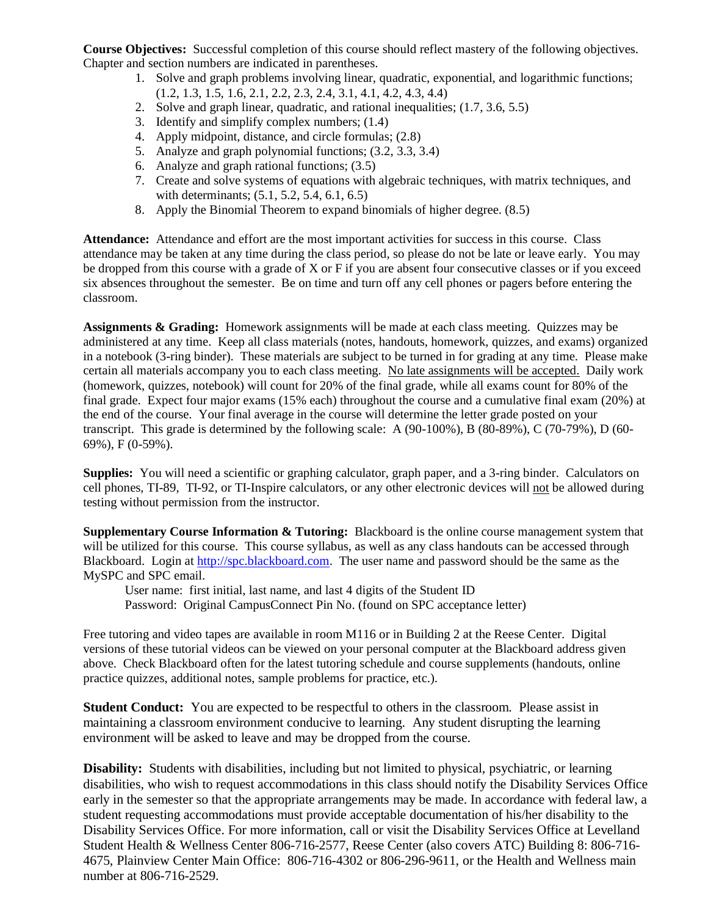**Course Objectives:** Successful completion of this course should reflect mastery of the following objectives. Chapter and section numbers are indicated in parentheses.

- 1. Solve and graph problems involving linear, quadratic, exponential, and logarithmic functions;
- (1.2, 1.3, 1.5, 1.6, 2.1, 2.2, 2.3, 2.4, 3.1, 4.1, 4.2, 4.3, 4.4)
- 2. Solve and graph linear, quadratic, and rational inequalities; (1.7, 3.6, 5.5)
- 3. Identify and simplify complex numbers; (1.4)
- 4. Apply midpoint, distance, and circle formulas; (2.8)
- 5. Analyze and graph polynomial functions; (3.2, 3.3, 3.4)
- 6. Analyze and graph rational functions; (3.5)
- 7. Create and solve systems of equations with algebraic techniques, with matrix techniques, and with determinants; (5.1, 5.2, 5.4, 6.1, 6.5)
- 8. Apply the Binomial Theorem to expand binomials of higher degree. (8.5)

**Attendance:** Attendance and effort are the most important activities for success in this course. Class attendance may be taken at any time during the class period, so please do not be late or leave early. You may be dropped from this course with a grade of X or F if you are absent four consecutive classes or if you exceed six absences throughout the semester. Be on time and turn off any cell phones or pagers before entering the classroom.

**Assignments & Grading:** Homework assignments will be made at each class meeting. Quizzes may be administered at any time. Keep all class materials (notes, handouts, homework, quizzes, and exams) organized in a notebook (3-ring binder). These materials are subject to be turned in for grading at any time. Please make certain all materials accompany you to each class meeting. No late assignments will be accepted. Daily work (homework, quizzes, notebook) will count for 20% of the final grade, while all exams count for 80% of the final grade. Expect four major exams (15% each) throughout the course and a cumulative final exam (20%) at the end of the course. Your final average in the course will determine the letter grade posted on your transcript. This grade is determined by the following scale: A (90-100%), B (80-89%), C (70-79%), D (60- 69%), F (0-59%).

**Supplies:** You will need a scientific or graphing calculator, graph paper, and a 3-ring binder. Calculators on cell phones, TI-89, TI-92, or TI-Inspire calculators, or any other electronic devices will not be allowed during testing without permission from the instructor.

**Supplementary Course Information & Tutoring:** Blackboard is the online course management system that will be utilized for this course. This course syllabus, as well as any class handouts can be accessed through Blackboard. Login at [http://spc.blackboard.com.](http://spc.blackboard.com/) The user name and password should be the same as the MySPC and SPC email.

User name: first initial, last name, and last 4 digits of the Student ID

Password: Original CampusConnect Pin No. (found on SPC acceptance letter)

Free tutoring and video tapes are available in room M116 or in Building 2 at the Reese Center. Digital versions of these tutorial videos can be viewed on your personal computer at the Blackboard address given above. Check Blackboard often for the latest tutoring schedule and course supplements (handouts, online practice quizzes, additional notes, sample problems for practice, etc.).

**Student Conduct:** You are expected to be respectful to others in the classroom. Please assist in maintaining a classroom environment conducive to learning. Any student disrupting the learning environment will be asked to leave and may be dropped from the course.

**Disability:** Students with disabilities, including but not limited to physical, psychiatric, or learning disabilities, who wish to request accommodations in this class should notify the Disability Services Office early in the semester so that the appropriate arrangements may be made. In accordance with federal law, a student requesting accommodations must provide acceptable documentation of his/her disability to the Disability Services Office. For more information, call or visit the Disability Services Office at Levelland Student Health & Wellness Center 806-716-2577, Reese Center (also covers ATC) Building 8: 806-716- 4675, Plainview Center Main Office: 806-716-4302 or 806-296-9611, or the Health and Wellness main number at 806-716-2529.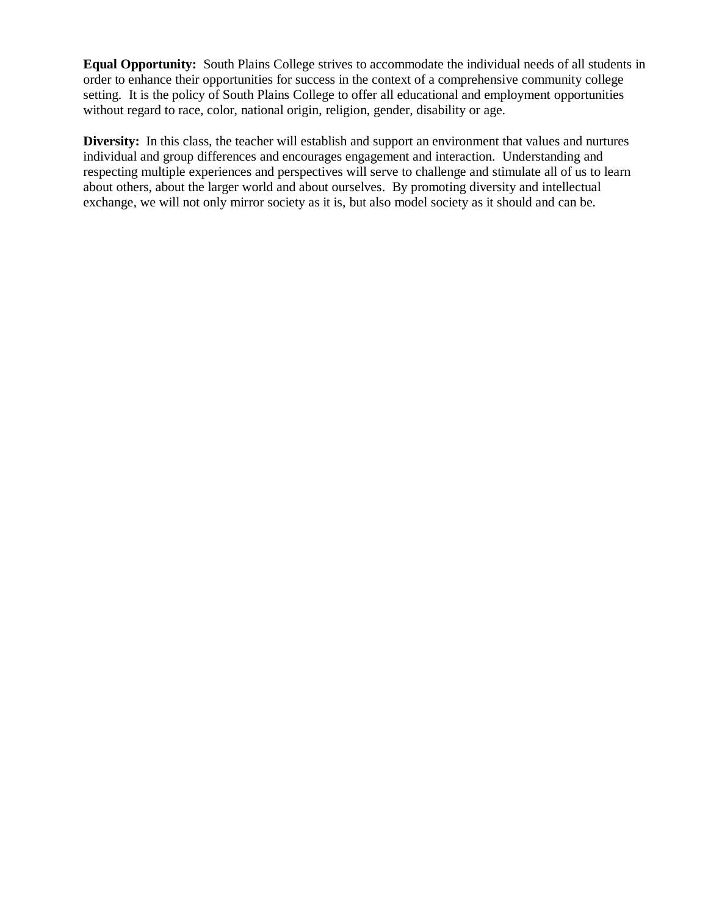**Equal Opportunity:** South Plains College strives to accommodate the individual needs of all students in order to enhance their opportunities for success in the context of a comprehensive community college setting. It is the policy of South Plains College to offer all educational and employment opportunities without regard to race, color, national origin, religion, gender, disability or age.

**Diversity:** In this class, the teacher will establish and support an environment that values and nurtures individual and group differences and encourages engagement and interaction. Understanding and respecting multiple experiences and perspectives will serve to challenge and stimulate all of us to learn about others, about the larger world and about ourselves. By promoting diversity and intellectual exchange, we will not only mirror society as it is, but also model society as it should and can be.